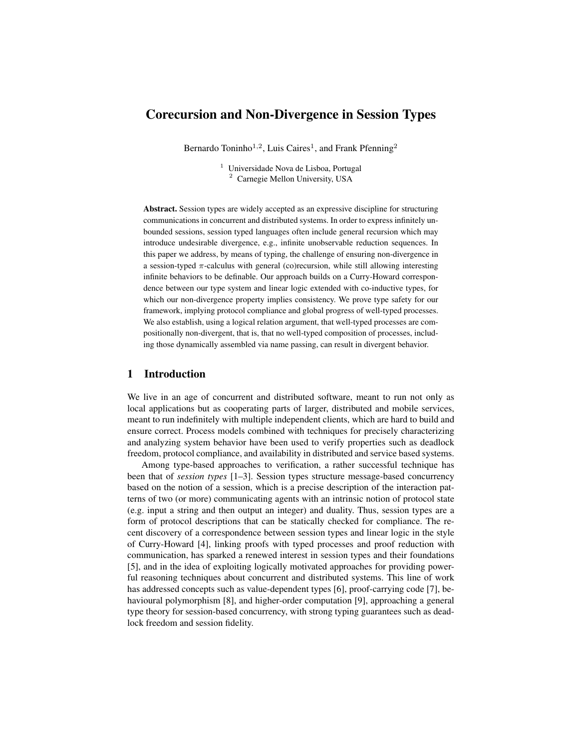### Corecursion and Non-Divergence in Session Types

Bernardo Toninho<sup>1,2</sup>, Luis Caires<sup>1</sup>, and Frank Pfenning<sup>2</sup>

 $1$  Universidade Nova de Lisboa, Portugal <sup>2</sup> Carnegie Mellon University, USA

Abstract. Session types are widely accepted as an expressive discipline for structuring communications in concurrent and distributed systems. In order to express infinitely unbounded sessions, session typed languages often include general recursion which may introduce undesirable divergence, e.g., infinite unobservable reduction sequences. In this paper we address, by means of typing, the challenge of ensuring non-divergence in a session-typed  $\pi$ -calculus with general (co)recursion, while still allowing interesting infinite behaviors to be definable. Our approach builds on a Curry-Howard correspondence between our type system and linear logic extended with co-inductive types, for which our non-divergence property implies consistency. We prove type safety for our framework, implying protocol compliance and global progress of well-typed processes. We also establish, using a logical relation argument, that well-typed processes are compositionally non-divergent, that is, that no well-typed composition of processes, including those dynamically assembled via name passing, can result in divergent behavior.

#### 1 Introduction

We live in an age of concurrent and distributed software, meant to run not only as local applications but as cooperating parts of larger, distributed and mobile services, meant to run indefinitely with multiple independent clients, which are hard to build and ensure correct. Process models combined with techniques for precisely characterizing and analyzing system behavior have been used to verify properties such as deadlock freedom, protocol compliance, and availability in distributed and service based systems.

Among type-based approaches to verification, a rather successful technique has been that of *session types* [1–3]. Session types structure message-based concurrency based on the notion of a session, which is a precise description of the interaction patterns of two (or more) communicating agents with an intrinsic notion of protocol state (e.g. input a string and then output an integer) and duality. Thus, session types are a form of protocol descriptions that can be statically checked for compliance. The recent discovery of a correspondence between session types and linear logic in the style of Curry-Howard [4], linking proofs with typed processes and proof reduction with communication, has sparked a renewed interest in session types and their foundations [5], and in the idea of exploiting logically motivated approaches for providing powerful reasoning techniques about concurrent and distributed systems. This line of work has addressed concepts such as value-dependent types [6], proof-carrying code [7], behavioural polymorphism [8], and higher-order computation [9], approaching a general type theory for session-based concurrency, with strong typing guarantees such as deadlock freedom and session fidelity.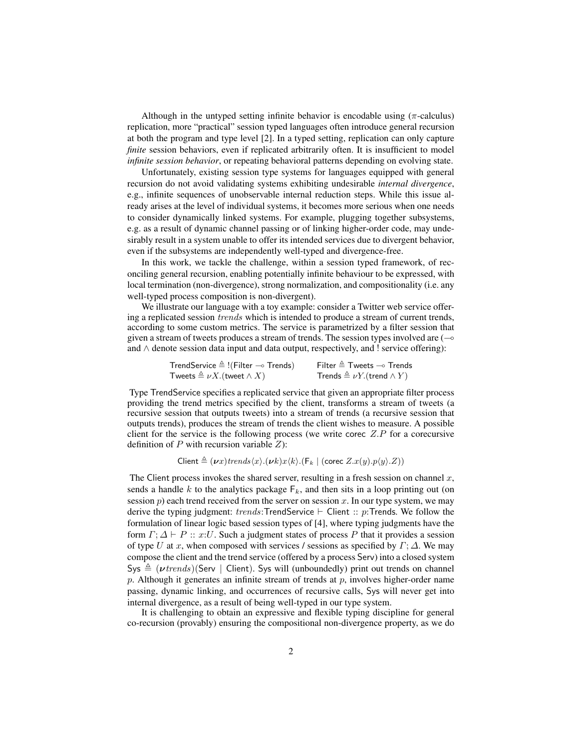Although in the untyped setting infinite behavior is encodable using  $(\pi$ -calculus) replication, more "practical" session typed languages often introduce general recursion at both the program and type level [2]. In a typed setting, replication can only capture *finite* session behaviors, even if replicated arbitrarily often. It is insufficient to model *infinite session behavior*, or repeating behavioral patterns depending on evolving state.

Unfortunately, existing session type systems for languages equipped with general recursion do not avoid validating systems exhibiting undesirable *internal divergence*, e.g., infinite sequences of unobservable internal reduction steps. While this issue already arises at the level of individual systems, it becomes more serious when one needs to consider dynamically linked systems. For example, plugging together subsystems, e.g. as a result of dynamic channel passing or of linking higher-order code, may undesirably result in a system unable to offer its intended services due to divergent behavior, even if the subsystems are independently well-typed and divergence-free.

In this work, we tackle the challenge, within a session typed framework, of reconciling general recursion, enabling potentially infinite behaviour to be expressed, with local termination (non-divergence), strong normalization, and compositionality (i.e. any well-typed process composition is non-divergent).

We illustrate our language with a toy example: consider a Twitter web service offering a replicated session *trends* which is intended to produce a stream of current trends, according to some custom metrics. The service is parametrized by a filter session that given a stream of tweets produces a stream of trends. The session types involved are  $(-\infty)$ and ∧ denote session data input and data output, respectively, and ! service offering):

| TrendService $\triangleq$ !(Filter $\multimap$ Trends) | Filter $\triangleq$ Tweets $\multimap$ Trends   |
|--------------------------------------------------------|-------------------------------------------------|
| Tweets $\triangleq \nu X$ . (tweet $\wedge X$ )        | Trends $\triangleq \nu Y$ . (trend $\wedge Y$ ) |

Type TrendService specifies a replicated service that given an appropriate filter process providing the trend metrics specified by the client, transforms a stream of tweets (a recursive session that outputs tweets) into a stream of trends (a recursive session that outputs trends), produces the stream of trends the client wishes to measure. A possible client for the service is the following process (we write corec  $Z.P$  for a corecursive definition of  $P$  with recursion variable  $Z$ ):

Client  $\triangleq (\nu x)$ trends $\langle x \rangle \cdot (\nu k)x \langle k \rangle \cdot (F_k | (\text{core } Z.x(y).p(y).Z))$ 

The Client process invokes the shared server, resulting in a fresh session on channel  $x$ , sends a handle k to the analytics package  $F_k$ , and then sits in a loop printing out (on session  $p$ ) each trend received from the server on session x. In our type system, we may derive the typing judgment: trends: TrendService  $\vdash$  Client :: p: Trends. We follow the formulation of linear logic based session types of [4], where typing judgments have the form  $\Gamma; \Delta \vdash P :: x : U$ . Such a judgment states of process P that it provides a session of type U at x, when composed with services / sessions as specified by  $\Gamma$ ;  $\Delta$ . We may compose the client and the trend service (offered by a process Serv) into a closed system  $Sys \triangleq (\nu$ trends)(Serv | Client). Sys will (unboundedly) print out trends on channel p. Although it generates an infinite stream of trends at  $p$ , involves higher-order name passing, dynamic linking, and occurrences of recursive calls, Sys will never get into internal divergence, as a result of being well-typed in our type system.

It is challenging to obtain an expressive and flexible typing discipline for general co-recursion (provably) ensuring the compositional non-divergence property, as we do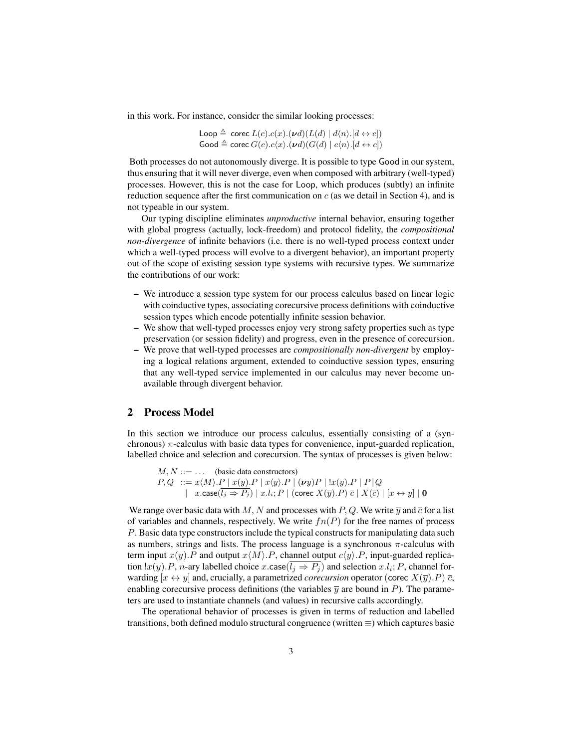in this work. For instance, consider the similar looking processes:

Loop  $\triangleq$  corec  $L(c).c(x).(\nu d)(L(d) | d\langle n \rangle.[d \leftrightarrow c])$ Good  $\triangleq$  corec  $G(c).c(x).(\nu d)(G(d) | c\langle n \rangle.[d \leftrightarrow c])$ 

Both processes do not autonomously diverge. It is possible to type Good in our system, thus ensuring that it will never diverge, even when composed with arbitrary (well-typed) processes. However, this is not the case for Loop, which produces (subtly) an infinite reduction sequence after the first communication on  $c$  (as we detail in Section 4), and is not typeable in our system.

Our typing discipline eliminates *unproductive* internal behavior, ensuring together with global progress (actually, lock-freedom) and protocol fidelity, the *compositional non-divergence* of infinite behaviors (i.e. there is no well-typed process context under which a well-typed process will evolve to a divergent behavior), an important property out of the scope of existing session type systems with recursive types. We summarize the contributions of our work:

- We introduce a session type system for our process calculus based on linear logic with coinductive types, associating corecursive process definitions with coinductive session types which encode potentially infinite session behavior.
- We show that well-typed processes enjoy very strong safety properties such as type preservation (or session fidelity) and progress, even in the presence of corecursion.
- We prove that well-typed processes are *compositionally non-divergent* by employing a logical relations argument, extended to coinductive session types, ensuring that any well-typed service implemented in our calculus may never become unavailable through divergent behavior.

#### 2 Process Model

In this section we introduce our process calculus, essentially consisting of a (synchronous)  $\pi$ -calculus with basic data types for convenience, input-guarded replication, labelled choice and selection and corecursion. The syntax of processes is given below:

```
M, N ::= \dots (basic data constructors)
P, Q \; ::= x \langle M \rangle.P \mid x \langle y \rangle.P \mid x \langle y \rangle.P \mid (\nu y) P \mid !x \langle y \rangle.P \mid P \mid Q| x.\mathsf{case}(l_j \Rightarrow P_j) \mid x.l_i; P \mid (\mathsf{corec} \ X(\overline{y}).P) \ \overline{c} \mid X(\overline{c}) \mid [x \leftrightarrow y] \mid \mathbf{0}
```
We range over basic data with M, N and processes with P, Q. We write  $\overline{y}$  and  $\overline{c}$  for a list of variables and channels, respectively. We write  $fn(P)$  for the free names of process P. Basic data type constructors include the typical constructs for manipulating data such as numbers, strings and lists. The process language is a synchronous  $\pi$ -calculus with term input  $x(y)$ . P and output  $x\langle M \rangle$ . P, channel output  $c\langle y \rangle$ . P, input-guarded replication  $!x(y).P$ , *n*-ary labelled choice  $x.\text{case}(l_j \Rightarrow P_j)$  and selection  $x.l_i$ ; *P*, channel forwarding  $[x \leftrightarrow y]$  and, crucially, a parametrized *corecursion* operator (corec  $X(\overline{y})$ . P)  $\overline{c}$ , enabling corecursive process definitions (the variables  $\overline{y}$  are bound in P). The parameters are used to instantiate channels (and values) in recursive calls accordingly.

The operational behavior of processes is given in terms of reduction and labelled transitions, both defined modulo structural congruence (written  $\equiv$ ) which captures basic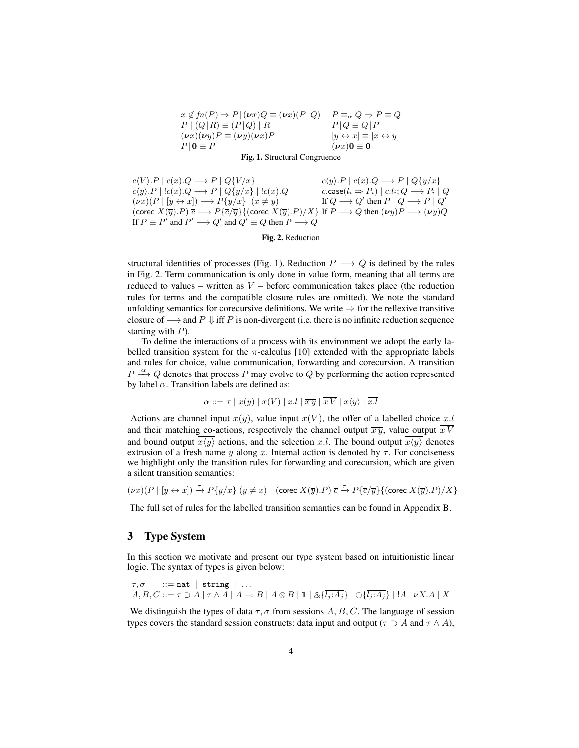| $x \notin fn(P) \Rightarrow P   (\nu x)Q \equiv (\nu x)(P   Q)$ | $P \equiv_{\alpha} Q \Rightarrow P \equiv Q$         |
|-----------------------------------------------------------------|------------------------------------------------------|
| $P   (Q   R) \equiv (P   Q)   R$                                | $P Q \equiv Q P$                                     |
| $(\nu x)(\nu y)P \equiv (\nu y)(\nu x)P$                        | $[y \leftrightarrow x] \equiv [x \leftrightarrow y]$ |
| $P\,0 \equiv P$                                                 | $(\nu x)0 \equiv 0$                                  |

Fig. 1. Structural Congruence

 $c\langle V \rangle.P \mid c(x).Q \longrightarrow P \mid Q\{V/x\}$ <br>  $c\langle y \rangle.P \mid c(x).Q \longrightarrow P \mid Q\{y/x\} \mid lc(x).Q$ <br>  $c.\text{case}(\overline{l_i \Rightarrow P_i}) \mid c.l_i; Q \longrightarrow P_i \mid Q$  $c\langle y \rangle \cdot P \mid !c(x) \cdot Q \longrightarrow P \mid Q \{ y/x \} \mid !c(x) \cdot Q$  $(\nu x)(P \mid [y \leftrightarrow x]) \longrightarrow P\{y/x\} \quad (x \neq y)$  If  $Q \longrightarrow Q'$  then  $P \mid Q \longrightarrow P \mid Q'$ (corec  $X(\overline{y}) \cdot P \overline{c} \longrightarrow P\{\overline{c}/\overline{y}\}\{(\text{corec } X(\overline{y}) \cdot P)/X\}$  If  $P \longrightarrow Q$  then  $(\nu y)P \longrightarrow (\nu y)Q$ <br>If  $P = P'$  and  $P' \longrightarrow Q'$  and  $Q' = Q$  then  $P \longrightarrow Q$ If  $P \equiv P'$  and  $P' \longrightarrow Q'$  and  $Q' \equiv Q$  then  $P \longrightarrow Q$ 

#### Fig. 2. Reduction

structural identities of processes (Fig. 1). Reduction  $P \longrightarrow Q$  is defined by the rules in Fig. 2. Term communication is only done in value form, meaning that all terms are reduced to values – written as  $V$  – before communication takes place (the reduction rules for terms and the compatible closure rules are omitted). We note the standard unfolding semantics for corecursive definitions. We write  $\Rightarrow$  for the reflexive transitive closure of  $\longrightarrow$  and P  $\Downarrow$  iff P is non-divergent (i.e. there is no infinite reduction sequence starting with  $P$ ).

To define the interactions of a process with its environment we adopt the early labelled transition system for the  $\pi$ -calculus [10] extended with the appropriate labels and rules for choice, value communication, forwarding and corecursion. A transition  $P \stackrel{\alpha}{\longrightarrow} Q$  denotes that process P may evolve to Q by performing the action represented by label  $\alpha$ . Transition labels are defined as:

$$
\alpha ::= \tau \mid x(y) \mid x(V) \mid x.l \mid \overline{xy} \mid x V \mid x \langle y \rangle \mid x.l
$$

Actions are channel input  $x(y)$ , value input  $x(V)$ , the offer of a labelled choice x.l and their matching co-actions, respectively the channel output  $\overline{xy}$ , value output  $\overline{x V}$ and bound output  $\overline{x\langle y \rangle}$  actions, and the selection  $\overline{x.l}$ . The bound output  $\overline{x\langle y \rangle}$  denotes extrusion of a fresh name y along x. Internal action is denoted by  $\tau$ . For conciseness we highlight only the transition rules for forwarding and corecursion, which are given a silent transition semantics:

 $(\nu x)(P \mid [y \leftrightarrow x]) \stackrel{\tau}{\rightarrow} P\{y/x\} \ (y \neq x)$  (corec  $X(\overline{y}).P) \overline{c} \stackrel{\tau}{\rightarrow} P\{\overline{c}/\overline{y}\}\{(\text{corec } X(\overline{y}).P)/X\}$ 

The full set of rules for the labelled transition semantics can be found in Appendix B.

#### 3 Type System

In this section we motivate and present our type system based on intuitionistic linear logic. The syntax of types is given below:

$$
\tau, \sigma \qquad ::= \text{nat} \mid \text{string} \mid \dots
$$
  

$$
A, B, C ::= \tau \supset A \mid \tau \wedge A \mid A \multimap B \mid A \otimes B \mid \mathbf{1} \mid \& \{\overline{l_j : A_j}\} \mid \bigoplus \{\overline{l_j : A_j}\} \mid !A \mid \nu X. A \mid X
$$

We distinguish the types of data  $\tau$ ,  $\sigma$  from sessions A, B, C. The language of session types covers the standard session constructs: data input and output ( $\tau \supset A$  and  $\tau \wedge A$ ),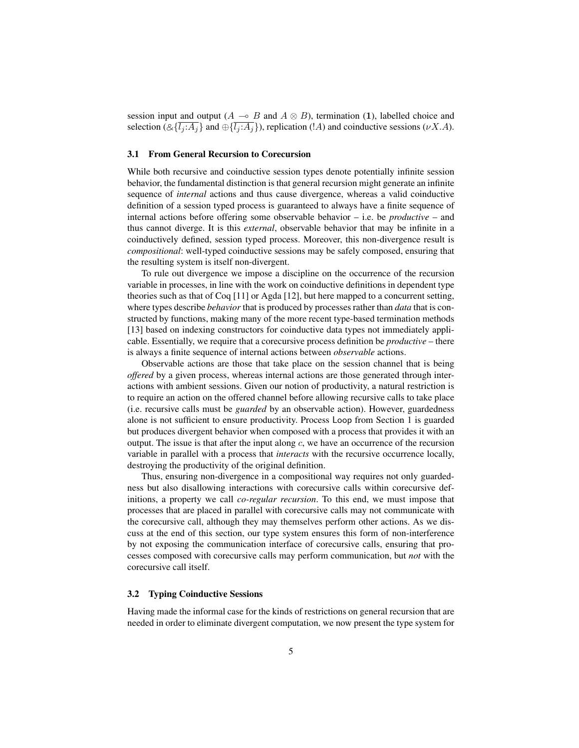session input and output ( $A \multimap B$  and  $A \otimes B$ ), termination (1), labelled choice and selection ( $\&\{l_i:A_i\}$  and  $\oplus\{l_i:A_i\}$ ), replication (!A) and coinductive sessions ( $\nu X.A$ ).

#### 3.1 From General Recursion to Corecursion

While both recursive and coinductive session types denote potentially infinite session behavior, the fundamental distinction is that general recursion might generate an infinite sequence of *internal* actions and thus cause divergence, whereas a valid coinductive definition of a session typed process is guaranteed to always have a finite sequence of internal actions before offering some observable behavior – i.e. be *productive* – and thus cannot diverge. It is this *external*, observable behavior that may be infinite in a coinductively defined, session typed process. Moreover, this non-divergence result is *compositional*: well-typed coinductive sessions may be safely composed, ensuring that the resulting system is itself non-divergent.

To rule out divergence we impose a discipline on the occurrence of the recursion variable in processes, in line with the work on coinductive definitions in dependent type theories such as that of Coq [11] or Agda [12], but here mapped to a concurrent setting, where types describe *behavior* that is produced by processes rather than *data* that is constructed by functions, making many of the more recent type-based termination methods [13] based on indexing constructors for coinductive data types not immediately applicable. Essentially, we require that a corecursive process definition be *productive* – there is always a finite sequence of internal actions between *observable* actions.

Observable actions are those that take place on the session channel that is being *offered* by a given process, whereas internal actions are those generated through interactions with ambient sessions. Given our notion of productivity, a natural restriction is to require an action on the offered channel before allowing recursive calls to take place (i.e. recursive calls must be *guarded* by an observable action). However, guardedness alone is not sufficient to ensure productivity. Process Loop from Section 1 is guarded but produces divergent behavior when composed with a process that provides it with an output. The issue is that after the input along  $c$ , we have an occurrence of the recursion variable in parallel with a process that *interacts* with the recursive occurrence locally, destroying the productivity of the original definition.

Thus, ensuring non-divergence in a compositional way requires not only guardedness but also disallowing interactions with corecursive calls within corecursive definitions, a property we call *co-regular recursion*. To this end, we must impose that processes that are placed in parallel with corecursive calls may not communicate with the corecursive call, although they may themselves perform other actions. As we discuss at the end of this section, our type system ensures this form of non-interference by not exposing the communication interface of corecursive calls, ensuring that processes composed with corecursive calls may perform communication, but *not* with the corecursive call itself.

#### 3.2 Typing Coinductive Sessions

Having made the informal case for the kinds of restrictions on general recursion that are needed in order to eliminate divergent computation, we now present the type system for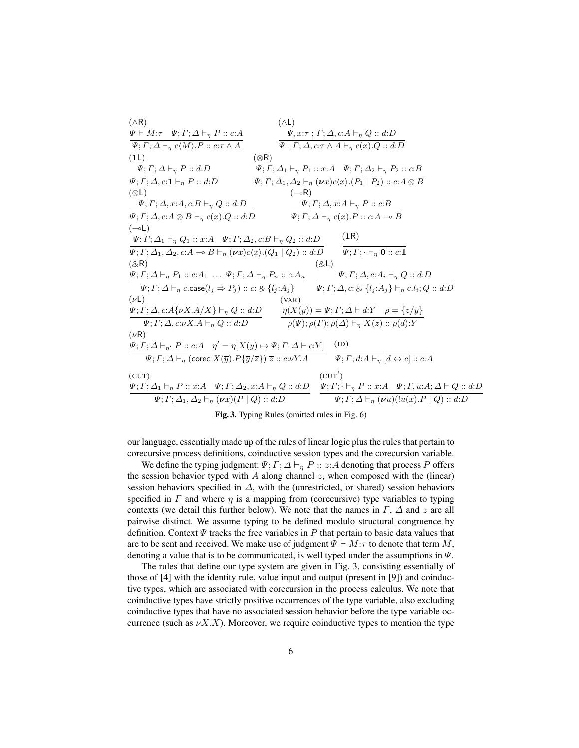(A)  
\n
$$
\Psi \vdash M : \tau \quad \Psi ; \Gamma ; \Delta \vdash_{\eta} P :: c : A
$$
\n
$$
\Psi ; \Gamma ; \Delta \vdash_{\eta} P :: c : A
$$
\n
$$
\Psi ; \Gamma ; \Delta , c : A \vdash_{\eta} Q :: d : D
$$
\n
$$
\Psi ; \Gamma ; \Delta \vdash_{\eta} P :: d : b
$$
\n
$$
\Psi ; \Gamma ; \Delta \vdash_{\eta} P :: d : b
$$
\n
$$
\Psi ; \Gamma ; \Delta , c : \tau \land A \vdash_{\eta} c(x) . Q :: d : b
$$
\n
$$
\Psi ; \Gamma ; \Delta , c : \Gamma \vdash_{\eta} P :: d : b
$$
\n
$$
\Psi ; \Gamma ; \Delta , c : \tau \land A \vdash_{\eta} P :: c : b
$$
\n
$$
\Psi ; \Gamma ; \Delta \vdash_{\eta} P :: d : b
$$
\n
$$
\Psi ; \Gamma ; \Delta \vdash_{\eta} P :: d : d : b
$$
\n
$$
\Psi ; \Gamma ; \Delta \vdash_{\eta} P :: c : d \otimes B
$$
\n
$$
\Psi ; \Gamma ; \Delta , x : A, c : B \vdash_{\eta} Q :: d : b
$$
\n
$$
\Psi ; \Gamma ; \Delta , x : A \vdash_{\eta} P :: c : B
$$
\n
$$
\neg \Box \psi ; \Gamma ; \Delta , x : A \otimes B \vdash_{\eta} c(x) . Q :: d : b
$$
\n
$$
\Psi ; \Gamma ; \Delta \vdash_{\eta} P :: c : A
$$
\n
$$
\neg \Box \psi ; \Gamma ; \Delta \vdash_{\eta} Q_1 :: x : A \quad \Psi ; \Gamma ; \Delta_2, c : B \vdash_{\eta} Q_2 :: d : b
$$
\n
$$
\psi ; \Gamma ; \Delta \vdash_{\eta} P :: c : A
$$
\n
$$
\langle \& L \rangle
$$
\n
$$
\psi ; \Gamma ; \Delta \vdash_{\eta} P_1 :: c : c A_1 ... \Psi ; \Gamma ; \Delta \vdash_{\eta} P_2 :: d : b
$$
\n
$$
\psi ; \Gamma ; \Delta , c : A \vdash_{\eta} Q :: d : b
$$
\n
$$
\psi ; \Gamma ; \Delta \vdash_{\eta} P :: c : c A
$$
\n
$$
\langle \& L \rangle
$$
\n<math display="block</p>

Fig. 3. Typing Rules (omitted rules in Fig. 6)

our language, essentially made up of the rules of linear logic plus the rules that pertain to corecursive process definitions, coinductive session types and the corecursion variable.

We define the typing judgment:  $\Psi$ ;  $\Gamma$ ;  $\Delta \vdash_{\eta} P :: z$ : A denoting that process P offers the session behavior typed with A along channel z, when composed with the (linear) session behaviors specified in ∆, with the (unrestricted, or shared) session behaviors specified in  $\Gamma$  and where  $\eta$  is a mapping from (corecursive) type variables to typing contexts (we detail this further below). We note that the names in  $\Gamma$ ,  $\Delta$  and z are all pairwise distinct. We assume typing to be defined modulo structural congruence by definition. Context  $\Psi$  tracks the free variables in P that pertain to basic data values that are to be sent and received. We make use of judgment  $\Psi \vdash M:\tau$  to denote that term M, denoting a value that is to be communicated, is well typed under the assumptions in  $\Psi$ .

The rules that define our type system are given in Fig. 3, consisting essentially of those of [4] with the identity rule, value input and output (present in [9]) and coinductive types, which are associated with corecursion in the process calculus. We note that coinductive types have strictly positive occurrences of the type variable, also excluding coinductive types that have no associated session behavior before the type variable occurrence (such as  $\nu X.X$ ). Moreover, we require coinductive types to mention the type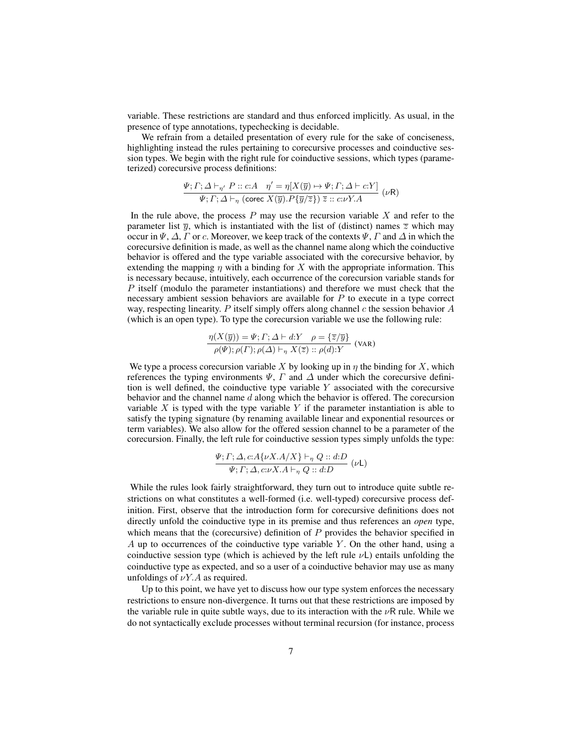variable. These restrictions are standard and thus enforced implicitly. As usual, in the presence of type annotations, typechecking is decidable.

We refrain from a detailed presentation of every rule for the sake of conciseness, highlighting instead the rules pertaining to corecursive processes and coinductive session types. We begin with the right rule for coinductive sessions, which types (parameterized) corecursive process definitions:

$$
\frac{\Psi; \Gamma; \Delta \vdash_{\eta'} P :: c:A \quad \eta' = \eta[X(\overline{y}) \mapsto \Psi; \Gamma; \Delta \vdash c:Y]}{\Psi; \Gamma; \Delta \vdash_{\eta} (\text{core } X(\overline{y}).P\{\overline{y}/\overline{z}\}) \ \overline{z} :: c:\nu Y.A} \ (\nu \mathsf{R})
$$

In the rule above, the process  $P$  may use the recursion variable  $X$  and refer to the parameter list  $\bar{y}$ , which is instantiated with the list of (distinct) names  $\bar{z}$  which may occur in  $\Psi$ ,  $\Delta$ ,  $\Gamma$  or c. Moreover, we keep track of the contexts  $\Psi$ ,  $\Gamma$  and  $\Delta$  in which the corecursive definition is made, as well as the channel name along which the coinductive behavior is offered and the type variable associated with the corecursive behavior, by extending the mapping  $\eta$  with a binding for X with the appropriate information. This is necessary because, intuitively, each occurrence of the corecursion variable stands for P itself (modulo the parameter instantiations) and therefore we must check that the necessary ambient session behaviors are available for  $P$  to execute in a type correct way, respecting linearity. P itself simply offers along channel c the session behavior  $A$ (which is an open type). To type the corecursion variable we use the following rule:

$$
\frac{\eta(X(\overline{y})) = \Psi; \Gamma; \Delta \vdash d:Y \quad \rho = \{\overline{z}/\overline{y}\}}{\rho(\Psi); \rho(\Gamma); \rho(\Delta) \vdash_{\eta} X(\overline{z}) :: \rho(d):Y} \text{ (VAR)}
$$

We type a process corecursion variable X by looking up in  $\eta$  the binding for X, which references the typing environments  $\Psi$ ,  $\Gamma$  and  $\Delta$  under which the corecursive definition is well defined, the coinductive type variable  $Y$  associated with the corecursive behavior and the channel name  $d$  along which the behavior is offered. The corecursion variable  $X$  is typed with the type variable  $Y$  if the parameter instantiation is able to satisfy the typing signature (by renaming available linear and exponential resources or term variables). We also allow for the offered session channel to be a parameter of the corecursion. Finally, the left rule for coinductive session types simply unfolds the type:

$$
\frac{\Psi; \Gamma; \Delta, c: A\{\nu X.A/X\} \vdash_{\eta} Q :: d:D}{\Psi; \Gamma; \Delta, c:\nu X.A \vdash_{\eta} Q :: d:D} (\nu \mathsf{L})
$$

While the rules look fairly straightforward, they turn out to introduce quite subtle restrictions on what constitutes a well-formed (i.e. well-typed) corecursive process definition. First, observe that the introduction form for corecursive definitions does not directly unfold the coinductive type in its premise and thus references an *open* type, which means that the (corecursive) definition of  $P$  provides the behavior specified in A up to occurrences of the coinductive type variable  $Y$ . On the other hand, using a coinductive session type (which is achieved by the left rule  $\nu L$ ) entails unfolding the coinductive type as expected, and so a user of a coinductive behavior may use as many unfoldings of  $\nu Y.A$  as required.

Up to this point, we have yet to discuss how our type system enforces the necessary restrictions to ensure non-divergence. It turns out that these restrictions are imposed by the variable rule in quite subtle ways, due to its interaction with the  $\nu$ R rule. While we do not syntactically exclude processes without terminal recursion (for instance, process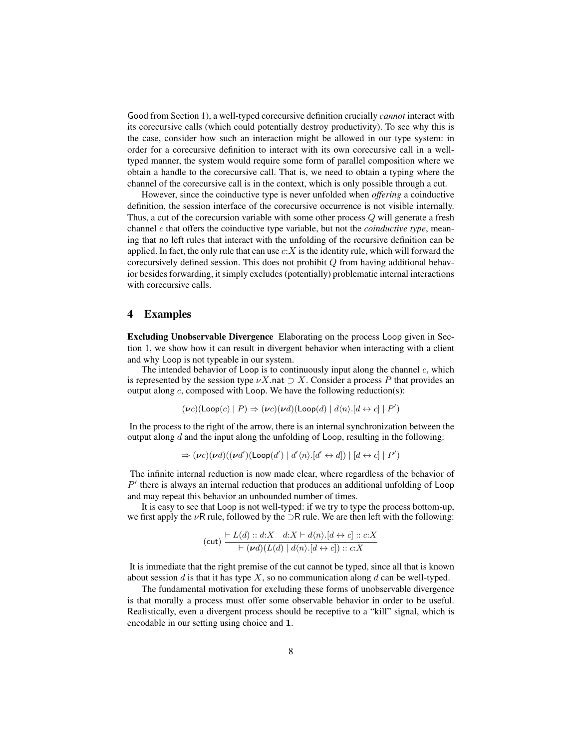Good from Section 1), a well-typed corecursive definition crucially *cannot* interact with its corecursive calls (which could potentially destroy productivity). To see why this is the case, consider how such an interaction might be allowed in our type system: in order for a corecursive definition to interact with its own corecursive call in a welltyped manner, the system would require some form of parallel composition where we obtain a handle to the corecursive call. That is, we need to obtain a typing where the channel of the corecursive call is in the context, which is only possible through a cut.

However, since the coinductive type is never unfolded when *offering* a coinductive definition, the session interface of the corecursive occurrence is not visible internally. Thus, a cut of the corecursion variable with some other process Q will generate a fresh channel c that offers the coinductive type variable, but not the *coinductive type*, meaning that no left rules that interact with the unfolding of the recursive definition can be applied. In fact, the only rule that can use  $c: X$  is the identity rule, which will forward the corecursively defined session. This does not prohibit  $Q$  from having additional behavior besides forwarding, it simply excludes (potentially) problematic internal interactions with corecursive calls.

#### 4 Examples

Excluding Unobservable Divergence Elaborating on the process Loop given in Section 1, we show how it can result in divergent behavior when interacting with a client and why Loop is not typeable in our system.

The intended behavior of Loop is to continuously input along the channel  $c$ , which is represented by the session type  $\nu X$ .nat  $\supset X$ . Consider a process P that provides an output along  $c$ , composed with Loop. We have the following reduction(s):

$$
(\nu c)(\text{Loop}(c) \mid P) \Rightarrow (\nu c)(\nu d)(\text{Loop}(d) \mid d\langle n \rangle. [d \leftrightarrow c] \mid P')
$$

In the process to the right of the arrow, there is an internal synchronization between the output along  $d$  and the input along the unfolding of Loop, resulting in the following:

$$
\Rightarrow (\nu c)(\nu d)((\nu d')(\text{Loop}(d') \mid d' \langle n \rangle . [d' \leftrightarrow d]) \mid [d \leftrightarrow c] \mid P')
$$

The infinite internal reduction is now made clear, where regardless of the behavior of  $P'$  there is always an internal reduction that produces an additional unfolding of Loop and may repeat this behavior an unbounded number of times.

It is easy to see that Loop is not well-typed: if we try to type the process bottom-up, we first apply the  $\nu$ R rule, followed by the  $\ni$ R rule. We are then left with the following:

$$
(\text{cut}) \frac{\vdash L(d) :: d:X \quad d:X \vdash d\langle n \rangle. [d \leftrightarrow c] :: c:X}{\vdash (\nu d)(L(d) \mid d\langle n \rangle. [d \leftrightarrow c]): c:X}
$$

It is immediate that the right premise of the cut cannot be typed, since all that is known about session d is that it has type  $X$ , so no communication along d can be well-typed.

The fundamental motivation for excluding these forms of unobservable divergence is that morally a process must offer some observable behavior in order to be useful. Realistically, even a divergent process should be receptive to a "kill" signal, which is encodable in our setting using choice and 1.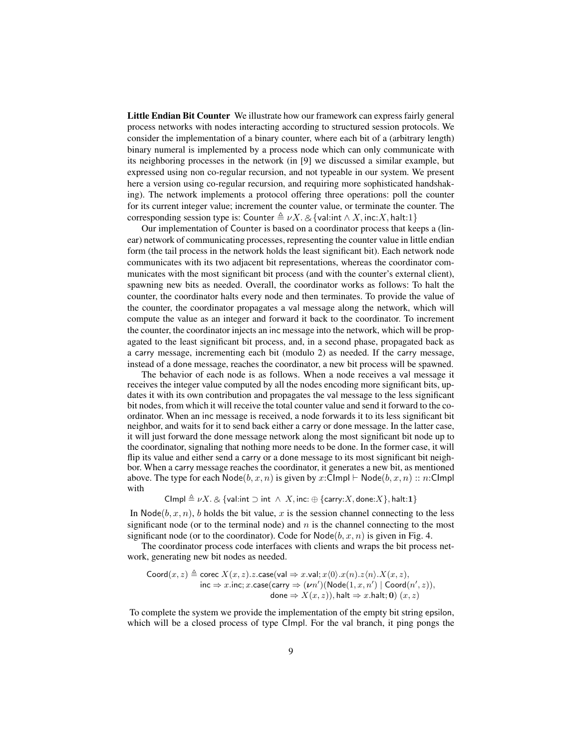Little Endian Bit Counter We illustrate how our framework can express fairly general process networks with nodes interacting according to structured session protocols. We consider the implementation of a binary counter, where each bit of a (arbitrary length) binary numeral is implemented by a process node which can only communicate with its neighboring processes in the network (in [9] we discussed a similar example, but expressed using non co-regular recursion, and not typeable in our system. We present here a version using co-regular recursion, and requiring more sophisticated handshaking). The network implements a protocol offering three operations: poll the counter for its current integer value; increment the counter value, or terminate the counter. The corresponding session type is: Counter  $\triangleq \nu X$ . & {val:int ∧ X, inc:X, halt:1}

Our implementation of Counter is based on a coordinator process that keeps a (linear) network of communicating processes, representing the counter value in little endian form (the tail process in the network holds the least significant bit). Each network node communicates with its two adjacent bit representations, whereas the coordinator communicates with the most significant bit process (and with the counter's external client), spawning new bits as needed. Overall, the coordinator works as follows: To halt the counter, the coordinator halts every node and then terminates. To provide the value of the counter, the coordinator propagates a val message along the network, which will compute the value as an integer and forward it back to the coordinator. To increment the counter, the coordinator injects an inc message into the network, which will be propagated to the least significant bit process, and, in a second phase, propagated back as a carry message, incrementing each bit (modulo 2) as needed. If the carry message, instead of a done message, reaches the coordinator, a new bit process will be spawned.

The behavior of each node is as follows. When a node receives a val message it receives the integer value computed by all the nodes encoding more significant bits, updates it with its own contribution and propagates the val message to the less significant bit nodes, from which it will receive the total counter value and send it forward to the coordinator. When an inc message is received, a node forwards it to its less significant bit neighbor, and waits for it to send back either a carry or done message. In the latter case, it will just forward the done message network along the most significant bit node up to the coordinator, signaling that nothing more needs to be done. In the former case, it will flip its value and either send a carry or a done message to its most significant bit neighbor. When a carry message reaches the coordinator, it generates a new bit, as mentioned above. The type for each  $\textsf{Node}(b, x, n)$  is given by x:Clmpl  $\vdash \textsf{Node}(b, x, n)$  :: n:Clmpl with

$$
\text{Clmpl} \triangleq \nu X. \otimes \{ \text{val:int } \supset \text{int } \wedge X, \text{inc: } \oplus \{ \text{carry:} X, \text{done:} X \}, \text{halt:} 1 \}
$$

In  $\text{Node}(b, x, n)$ , b holds the bit value, x is the session channel connecting to the less significant node (or to the terminal node) and  $n$  is the channel connecting to the most significant node (or to the coordinator). Code for  $\text{Node}(b, x, n)$  is given in Fig. 4.

The coordinator process code interfaces with clients and wraps the bit process network, generating new bit nodes as needed.

$$
\begin{array}{c}\mathsf{Coord}(x,z) \triangleq \mathsf{corec}\ X(x,z).z.\mathsf{case}(\mathsf{val} \Rightarrow x.\mathsf{val}; x\langle 0 \rangle.x(n).z\langle n \rangle.X(x,z),\\ \mathsf{inc} \Rightarrow x.\mathsf{inc}; x.\mathsf{case}(\mathsf{carry} \Rightarrow (\nu n')(\mathsf{Node}(1,x,n')\mid \mathsf{Coord}(n',z)),\\ \mathsf{done} \Rightarrow X(x,z)), \mathsf{halt} \Rightarrow x.\mathsf{halt}; \mathbf{0})\ (x,z)\end{array}
$$

To complete the system we provide the implementation of the empty bit string epsilon, which will be a closed process of type CImpl. For the val branch, it ping pongs the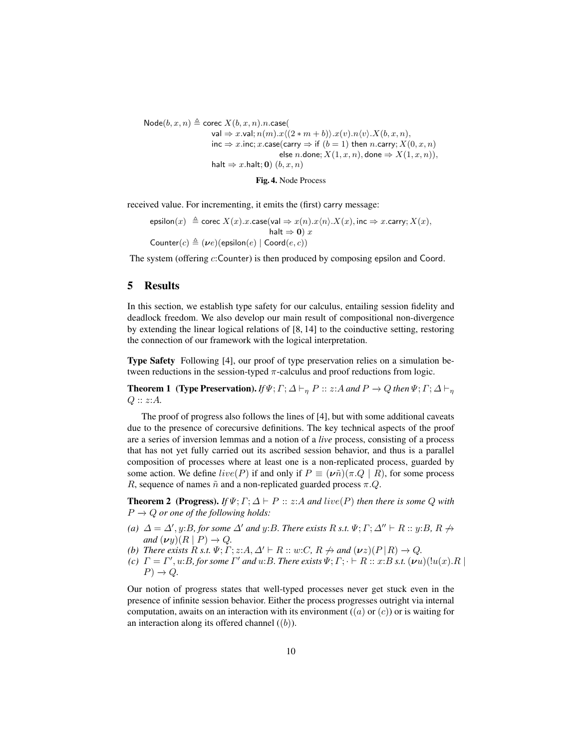$Node(b, x, n) \triangleq$  corec  $X(b, x, n)$ .n.case( val  $\Rightarrow$  x.val;  $n(m).x\langle (2 * m + b)\rangle.x(v).n\langle v\rangle.X(b, x, n),$ inc ⇒ x.inc; x.case(carry ⇒ if  $(b = 1)$  then n.carry;  $X(0, x, n)$ else *n*.done;  $X(1, x, n)$ , done  $\Rightarrow X(1, x, n)$ ), halt  $\Rightarrow$  x.halt; 0)  $(b, x, n)$ Fig. 4. Node Process

received value. For incrementing, it emits the (first) carry message:

epsilon(x)  $\triangleq$  corec  $X(x)$ .x.case(val  $\Rightarrow$   $x(n)$ . $x(n)$ . $X(x)$ , inc  $\Rightarrow$  x.carry;  $X(x)$ , halt  $\Rightarrow$  0) x Counter(c)  $\triangleq$  ( $\nu e$ )(epsilon(e) | Coord(e, c))

The system (offering *c*:Counter) is then produced by composing epsilon and Coord.

#### 5 Results

In this section, we establish type safety for our calculus, entailing session fidelity and deadlock freedom. We also develop our main result of compositional non-divergence by extending the linear logical relations of [8, 14] to the coinductive setting, restoring the connection of our framework with the logical interpretation.

Type Safety Following [4], our proof of type preservation relies on a simulation between reductions in the session-typed  $\pi$ -calculus and proof reductions from logic.

**Theorem 1** (**Type Preservation**). *If*  $\Psi$ ;  $\Gamma$ ;  $\Delta \vdash_{\eta} P$  :: z:A and  $P \rightarrow Q$  then  $\Psi$ ;  $\Gamma$ ;  $\Delta \vdash_{\eta} P$ Q :: z:A*.*

The proof of progress also follows the lines of [4], but with some additional caveats due to the presence of corecursive definitions. The key technical aspects of the proof are a series of inversion lemmas and a notion of a *live* process, consisting of a process that has not yet fully carried out its ascribed session behavior, and thus is a parallel composition of processes where at least one is a non-replicated process, guarded by some action. We define  $live(P)$  if and only if  $P \equiv (\nu \tilde{n})(\pi.Q \mid R)$ , for some process R, sequence of names  $\tilde{n}$  and a non-replicated guarded process  $\pi.Q$ .

**Theorem 2 (Progress).** *If*  $\Psi$ ;  $\Gamma$ ;  $\Delta \vdash P$  ::  $z$ : A and live(P) then there is some Q with  $P \rightarrow Q$  *or one of the following holds:* 

- *(a)*  $\Delta = \Delta'$ , y:B, for some  $\Delta'$  and y:B. There exists R s.t.  $\Psi$ ;  $\Gamma$ ;  $\Delta'' \vdash R :: y:B, R \not\rightarrow$ *and*  $(\nu y)(R \mid P) \rightarrow Q$ *.*
- *(b) There exists*  $R$  *s.t.*  $\Psi$ ;  $\Gamma$ ;  $z:A$ ,  $\Delta' \vdash R :: w:C$ ,  $R \nrightarrow \text{and } (vz)(P | R) \rightarrow Q$ .
- *(c)*  $\Gamma = \Gamma', u$ :B, for some  $\Gamma'$  and  $u$ :B. There exists  $\Psi; \Gamma; \cdot \vdash R :: x$ :B s.t.  $(\nu u)(!u(x).R)$  $P) \rightarrow Q$ .

Our notion of progress states that well-typed processes never get stuck even in the presence of infinite session behavior. Either the process progresses outright via internal computation, awaits on an interaction with its environment  $((a)$  or  $(c))$  or is waiting for an interaction along its offered channel  $((b))$ .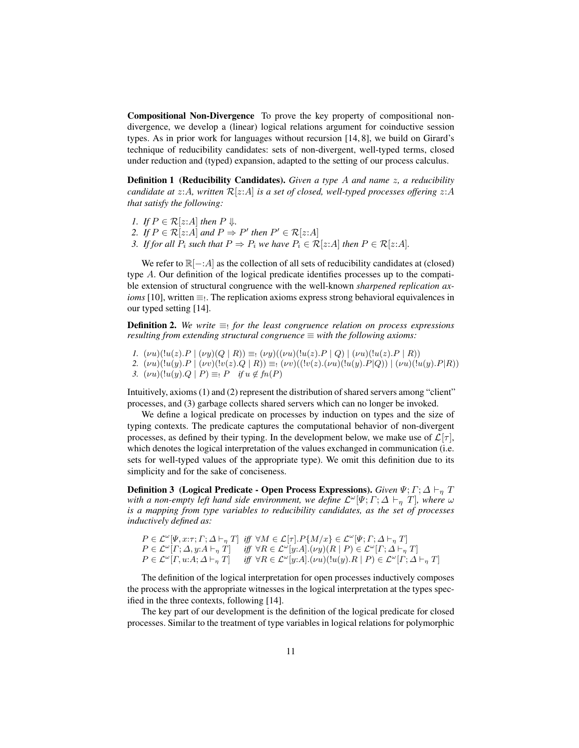Compositional Non-Divergence To prove the key property of compositional nondivergence, we develop a (linear) logical relations argument for coinductive session types. As in prior work for languages without recursion [14, 8], we build on Girard's technique of reducibility candidates: sets of non-divergent, well-typed terms, closed under reduction and (typed) expansion, adapted to the setting of our process calculus.

Definition 1 (Reducibility Candidates). *Given a type* A *and name* z*, a reducibility candidate at* z:A*, written* R[z:A] *is a set of closed, well-typed processes offering* z:A *that satisfy the following:*

- *1. If*  $P \in \mathcal{R}[z:A]$  *then*  $P \Downarrow$ *.*
- 2. If  $P \in \mathcal{R}[z:A]$  and  $P \Rightarrow P'$  then  $P' \in \mathcal{R}[z:A]$
- *3. If for all*  $P_i$  *such that*  $P \Rightarrow P_i$  *we have*  $P_i \in \mathcal{R}[z:A]$  *then*  $P \in \mathcal{R}[z:A]$ *.*

We refer to  $\mathbb{R}[-A]$  as the collection of all sets of reducibility candidates at (closed) type A. Our definition of the logical predicate identifies processes up to the compatible extension of structural congruence with the well-known *sharpened replication axioms* [10], written ≡<sub>1</sub>. The replication axioms express strong behavioral equivalences in our typed setting [14].

**Definition 2.** We write  $\equiv$  *for the least congruence relation on process expressions resulting from extending structural congruence* ≡ *with the following axioms:* 

- *1.*  $(\nu u)(!u(z).P \mid (\nu y)(Q \mid R)) \equiv_! (\nu y)((\nu u)(!u(z).P \mid Q) \mid (\nu u)(!u(z).P \mid R))$
- 2.  $(\nu u)(!u(y).P \mid (\nu v)(!v(z).Q \mid R)) \equiv (\nu v)((!v(z).(\nu u)(!u(y).P \mid Q)) \mid (\nu u)(!u(y).P \mid R))$ *3.*  $(\nu u)(!u(y).Q \mid P) \equiv P \quad \text{if } u \notin \text{fn}(P)$

Intuitively, axioms (1) and (2) represent the distribution of shared servers among "client" processes, and (3) garbage collects shared servers which can no longer be invoked.

We define a logical predicate on processes by induction on types and the size of typing contexts. The predicate captures the computational behavior of non-divergent processes, as defined by their typing. In the development below, we make use of  $\mathcal{L}[\tau]$ , which denotes the logical interpretation of the values exchanged in communication (i.e. sets for well-typed values of the appropriate type). We omit this definition due to its simplicity and for the sake of conciseness.

**Definition 3** (Logical Predicate - Open Process Expressions). *Given*  $\Psi$ ;  $\Gamma$ ;  $\Delta \vdash_{\eta} T$ with a non-empty left hand side environment, we define  $\mathcal{L}^{\omega}[\Psi; \Gamma; \Delta \vdash_{\eta} T]$ , where  $\omega$ *is a mapping from type variables to reducibility candidates, as the set of processes inductively defined as:*

$$
P \in \mathcal{L}^{\omega}[\Psi, x:\tau; \Gamma; \Delta \vdash_{\eta} T] \quad \text{iff} \quad \forall M \in \mathcal{L}[\tau]. P\{M/x\} \in \mathcal{L}^{\omega}[\Psi; \Gamma; \Delta \vdash_{\eta} T] \\
 P \in \mathcal{L}^{\omega}[\Gamma; \Delta, y: A \vdash_{\eta} T] \quad \text{iff} \quad \forall R \in \mathcal{L}^{\omega}[y:A].(\nu y)(R \mid P) \in \mathcal{L}^{\omega}[\Gamma; \Delta \vdash_{\eta} T] \\
 P \in \mathcal{L}^{\omega}[\Gamma, u: A; \Delta \vdash_{\eta} T] \quad \text{iff} \quad \forall R \in \mathcal{L}^{\omega}[y:A].(\nu u)(!u(y).R \mid P) \in \mathcal{L}^{\omega}[\Gamma; \Delta \vdash_{\eta} T]
$$

The definition of the logical interpretation for open processes inductively composes the process with the appropriate witnesses in the logical interpretation at the types specified in the three contexts, following [14].

The key part of our development is the definition of the logical predicate for closed processes. Similar to the treatment of type variables in logical relations for polymorphic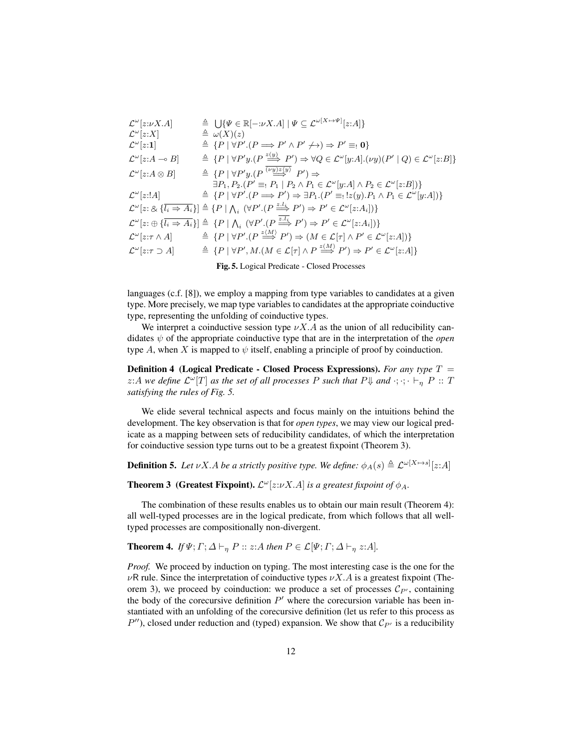| $\mathcal{L}^{\omega}[z:\nu X.A]$            |  | $\triangleq$ $\bigcup \{ \Psi \in \mathbb{R}[-:\nu X.A] \mid \Psi \subseteq \mathcal{L}^{\omega[X \mapsto \Psi]}[z:A] \}$                                                                                                           |
|----------------------------------------------|--|-------------------------------------------------------------------------------------------------------------------------------------------------------------------------------------------------------------------------------------|
| $\mathcal{L}^{\omega}[z:X]$                  |  | $\triangleq \omega(X)(z)$                                                                                                                                                                                                           |
| $\mathcal{L}^{\omega}[z\mathbf{:}1]$         |  | $\triangleq \{P \mid \forall P'.(P \Longrightarrow P' \land P' \nrightarrow) \Rightarrow P' \equiv 0\}$                                                                                                                             |
| $\mathcal{L}^{\omega}[z:A\multimap B]$       |  | $\triangleq \{P \mid \forall P'y.(P \stackrel{z(y)}{\Longrightarrow} P') \Rightarrow \forall Q \in \mathcal{L}^{\omega}[y:A].(\nu y)(P' \mid Q) \in \mathcal{L}^{\omega}[z:B]\}$                                                    |
| $\mathcal{L}^{\omega}[z:A\otimes B]$         |  | $\triangleq \{P \mid \forall P'y \cdot (P \stackrel{\overline{(vy)z(y)}}{\longrightarrow} P') \Rightarrow$                                                                                                                          |
|                                              |  | $\exists P_1, P_2.(P' \equiv_! P_1   P_2 \wedge P_1 \in \mathcal{L}^{\omega}[y:A] \wedge P_2 \in \mathcal{L}^{\omega}[z:B])$                                                                                                        |
| $\mathcal{L}^{\omega}[z:!A]$                 |  | $\triangleq \{P \mid \forall P'.(P \Longrightarrow P') \Rightarrow \exists P_1.(P' \equiv_! \exists z(y).P_1 \land P_1 \in \mathcal{L}^{\omega}[y:A])\}$                                                                            |
|                                              |  | $\mathcal{L}^{\omega}[z:\& \{\overline{l_i \Rightarrow A_i}\}] \triangleq \{P \mid \bigwedge_i (\forall P'.(P \stackrel{z.l_i}{\Longrightarrow} P') \Rightarrow P' \in \mathcal{L}^{\omega}[z:A_i])\}$                              |
|                                              |  | $\mathcal{L}^{\omega}[z:\bigoplus \{\overline{l_i \Rightarrow A_i}\}] \triangleq \{P \mid \bigwedge_i (\forall P'.(P \stackrel{\overline{z}.\overline{l_i}}{\Longrightarrow} P') \Rightarrow P' \in \mathcal{L}^{\omega}[z:A_i])\}$ |
| $\mathcal{L}^{\omega}[z:\tau\wedge A]$       |  | $\triangleq \{P \mid \forall P'.(P \stackrel{z\langle M \rangle}{\Longrightarrow} P') \Rightarrow (M \in \mathcal{L}[\tau] \wedge P' \in \mathcal{L}^{\omega}[z:A])\}$                                                              |
| $\mathcal{L}^{\omega}[z:\tau \supset A]$     |  | $\hat{=} \{ P \mid \forall P', M.(M \in \mathcal{L}[\tau] \land P \stackrel{z(M)}{\Longrightarrow} P') \Rightarrow P' \in \mathcal{L}^{\omega}[z:A] \}$                                                                             |
| Fig. 5. Logical Predicate - Closed Processes |  |                                                                                                                                                                                                                                     |

languages (c.f. [8]), we employ a mapping from type variables to candidates at a given type. More precisely, we map type variables to candidates at the appropriate coinductive type, representing the unfolding of coinductive types.

We interpret a coinductive session type  $\nu X.A$  as the union of all reducibility candidates ψ of the appropriate coinductive type that are in the interpretation of the *open* type A, when X is mapped to  $\psi$  itself, enabling a principle of proof by coinduction.

Definition 4 (Logical Predicate - Closed Process Expressions). *For any type* T = z: A we define  $\mathcal{L}^{\omega}[T]$  as the set of all processes P such that  $P\psi$  and  $\cdot; \cdot \cdot \vdash_{\eta} P :: T$ *satisfying the rules of Fig. 5.*

We elide several technical aspects and focus mainly on the intuitions behind the development. The key observation is that for *open types*, we may view our logical predicate as a mapping between sets of reducibility candidates, of which the interpretation for coinductive session type turns out to be a greatest fixpoint (Theorem 3).

**Definition 5.** Let  $\nu X.A$  be a strictly positive type. We define:  $\phi_A(s) \triangleq \mathcal{L}^{\omega[X \mapsto s]}[z:A]$ 

**Theorem 3** (Greatest Fixpoint).  $\mathcal{L}^{\omega}[z:\nu X.A]$  *is a greatest fixpoint of*  $\phi_A$ .

The combination of these results enables us to obtain our main result (Theorem 4): all well-typed processes are in the logical predicate, from which follows that all welltyped processes are compositionally non-divergent.

**Theorem 4.** *If*  $\Psi$ ;  $\Gamma$ ;  $\Delta \vdash_n P$  :: *z*:*A then*  $P \in \mathcal{L}[\Psi; \Gamma; \Delta \vdash_n z:A]$ *.* 

*Proof.* We proceed by induction on typing. The most interesting case is the one for the  $\nu$ R rule. Since the interpretation of coinductive types  $\nu X.A$  is a greatest fixpoint (Theorem 3), we proceed by coinduction: we produce a set of processes  $\mathcal{C}_{P'}$ , containing the body of the corecursive definition  $P'$  where the corecursion variable has been instantiated with an unfolding of the corecursive definition (let us refer to this process as  $P''$ ), closed under reduction and (typed) expansion. We show that  $C_{P'}$  is a reducibility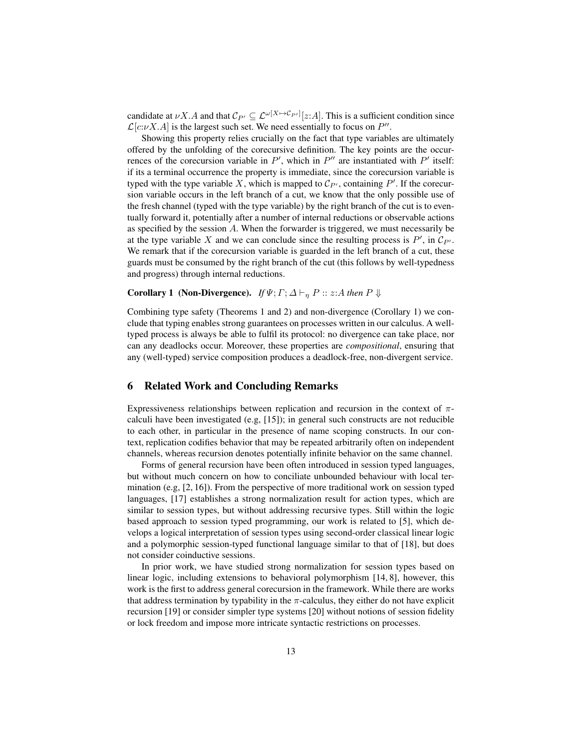candidate at  $\nu X.A$  and that  $C_{P'} \subseteq \mathcal{L}^{\omega[X \mapsto C_{P'}]}[z:A]$ . This is a sufficient condition since  $\mathcal{L}[c:\nu X.A]$  is the largest such set. We need essentially to focus on  $P''$ .

Showing this property relies crucially on the fact that type variables are ultimately offered by the unfolding of the corecursive definition. The key points are the occurrences of the corecursion variable in  $P'$ , which in  $P''$  are instantiated with  $P'$  itself: if its a terminal occurrence the property is immediate, since the corecursion variable is typed with the type variable X, which is mapped to  $\mathcal{C}_{P'}$ , containing  $P'$ . If the corecursion variable occurs in the left branch of a cut, we know that the only possible use of the fresh channel (typed with the type variable) by the right branch of the cut is to eventually forward it, potentially after a number of internal reductions or observable actions as specified by the session A. When the forwarder is triggered, we must necessarily be at the type variable X and we can conclude since the resulting process is  $P'$ , in  $\mathcal{C}_{P'}$ . We remark that if the corecursion variable is guarded in the left branch of a cut, these guards must be consumed by the right branch of the cut (this follows by well-typedness and progress) through internal reductions.

**Corollary 1** (Non-Divergence). *If*  $\Psi$ ;  $\Gamma$ ;  $\Delta \vdash_{\eta} P$  :: *z*:*A then*  $P \Downarrow$ 

Combining type safety (Theorems 1 and 2) and non-divergence (Corollary 1) we conclude that typing enables strong guarantees on processes written in our calculus. A welltyped process is always be able to fulfil its protocol: no divergence can take place, nor can any deadlocks occur. Moreover, these properties are *compositional*, ensuring that any (well-typed) service composition produces a deadlock-free, non-divergent service.

#### 6 Related Work and Concluding Remarks

Expressiveness relationships between replication and recursion in the context of  $\pi$ calculi have been investigated (e.g, [15]); in general such constructs are not reducible to each other, in particular in the presence of name scoping constructs. In our context, replication codifies behavior that may be repeated arbitrarily often on independent channels, whereas recursion denotes potentially infinite behavior on the same channel.

Forms of general recursion have been often introduced in session typed languages, but without much concern on how to conciliate unbounded behaviour with local termination (e.g, [2, 16]). From the perspective of more traditional work on session typed languages, [17] establishes a strong normalization result for action types, which are similar to session types, but without addressing recursive types. Still within the logic based approach to session typed programming, our work is related to [5], which develops a logical interpretation of session types using second-order classical linear logic and a polymorphic session-typed functional language similar to that of [18], but does not consider coinductive sessions.

In prior work, we have studied strong normalization for session types based on linear logic, including extensions to behavioral polymorphism [14, 8], however, this work is the first to address general corecursion in the framework. While there are works that address termination by typability in the  $\pi$ -calculus, they either do not have explicit recursion [19] or consider simpler type systems [20] without notions of session fidelity or lock freedom and impose more intricate syntactic restrictions on processes.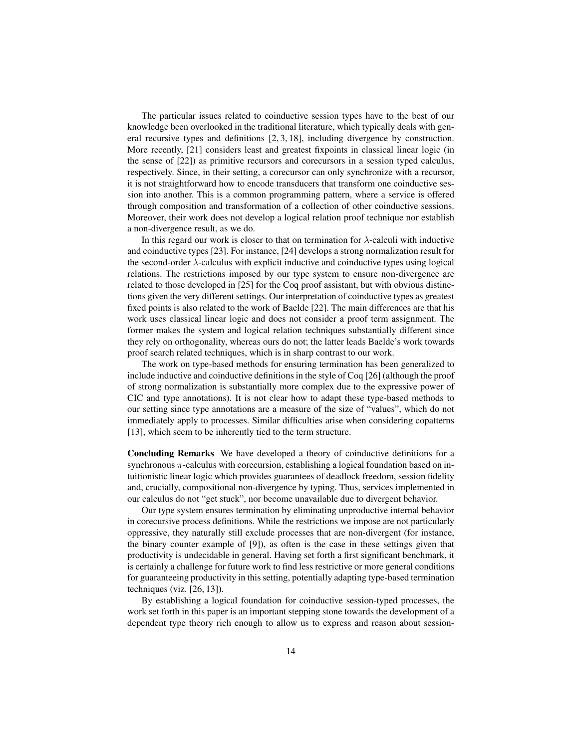The particular issues related to coinductive session types have to the best of our knowledge been overlooked in the traditional literature, which typically deals with general recursive types and definitions [2, 3, 18], including divergence by construction. More recently, [21] considers least and greatest fixpoints in classical linear logic (in the sense of [22]) as primitive recursors and corecursors in a session typed calculus, respectively. Since, in their setting, a corecursor can only synchronize with a recursor, it is not straightforward how to encode transducers that transform one coinductive session into another. This is a common programming pattern, where a service is offered through composition and transformation of a collection of other coinductive sessions. Moreover, their work does not develop a logical relation proof technique nor establish a non-divergence result, as we do.

In this regard our work is closer to that on termination for  $\lambda$ -calculi with inductive and coinductive types [23]. For instance, [24] develops a strong normalization result for the second-order  $\lambda$ -calculus with explicit inductive and coinductive types using logical relations. The restrictions imposed by our type system to ensure non-divergence are related to those developed in [25] for the Coq proof assistant, but with obvious distinctions given the very different settings. Our interpretation of coinductive types as greatest fixed points is also related to the work of Baelde [22]. The main differences are that his work uses classical linear logic and does not consider a proof term assignment. The former makes the system and logical relation techniques substantially different since they rely on orthogonality, whereas ours do not; the latter leads Baelde's work towards proof search related techniques, which is in sharp contrast to our work.

The work on type-based methods for ensuring termination has been generalized to include inductive and coinductive definitions in the style of Coq [26] (although the proof of strong normalization is substantially more complex due to the expressive power of CIC and type annotations). It is not clear how to adapt these type-based methods to our setting since type annotations are a measure of the size of "values", which do not immediately apply to processes. Similar difficulties arise when considering copatterns [13], which seem to be inherently tied to the term structure.

Concluding Remarks We have developed a theory of coinductive definitions for a synchronous  $\pi$ -calculus with corecursion, establishing a logical foundation based on intuitionistic linear logic which provides guarantees of deadlock freedom, session fidelity and, crucially, compositional non-divergence by typing. Thus, services implemented in our calculus do not "get stuck", nor become unavailable due to divergent behavior.

Our type system ensures termination by eliminating unproductive internal behavior in corecursive process definitions. While the restrictions we impose are not particularly oppressive, they naturally still exclude processes that are non-divergent (for instance, the binary counter example of [9]), as often is the case in these settings given that productivity is undecidable in general. Having set forth a first significant benchmark, it is certainly a challenge for future work to find less restrictive or more general conditions for guaranteeing productivity in this setting, potentially adapting type-based termination techniques (viz. [26, 13]).

By establishing a logical foundation for coinductive session-typed processes, the work set forth in this paper is an important stepping stone towards the development of a dependent type theory rich enough to allow us to express and reason about session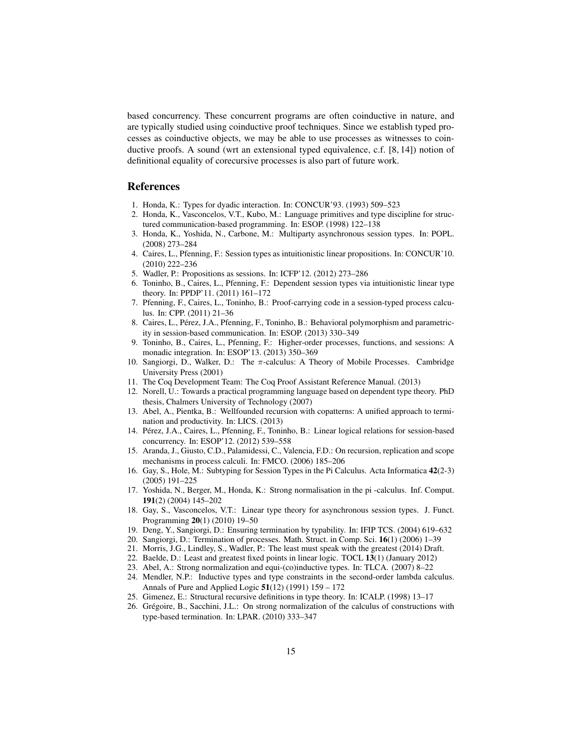based concurrency. These concurrent programs are often coinductive in nature, and are typically studied using coinductive proof techniques. Since we establish typed processes as coinductive objects, we may be able to use processes as witnesses to coinductive proofs. A sound (wrt an extensional typed equivalence, c.f. [8, 14]) notion of definitional equality of corecursive processes is also part of future work.

#### References

- 1. Honda, K.: Types for dyadic interaction. In: CONCUR'93. (1993) 509–523
- 2. Honda, K., Vasconcelos, V.T., Kubo, M.: Language primitives and type discipline for structured communication-based programming. In: ESOP. (1998) 122–138
- 3. Honda, K., Yoshida, N., Carbone, M.: Multiparty asynchronous session types. In: POPL. (2008) 273–284
- 4. Caires, L., Pfenning, F.: Session types as intuitionistic linear propositions. In: CONCUR'10. (2010) 222–236
- 5. Wadler, P.: Propositions as sessions. In: ICFP'12. (2012) 273–286
- 6. Toninho, B., Caires, L., Pfenning, F.: Dependent session types via intuitionistic linear type theory. In: PPDP'11. (2011) 161–172
- 7. Pfenning, F., Caires, L., Toninho, B.: Proof-carrying code in a session-typed process calculus. In: CPP. (2011) 21–36
- 8. Caires, L., Pérez, J.A., Pfenning, F., Toninho, B.: Behavioral polymorphism and parametricity in session-based communication. In: ESOP. (2013) 330–349
- 9. Toninho, B., Caires, L., Pfenning, F.: Higher-order processes, functions, and sessions: A monadic integration. In: ESOP'13. (2013) 350–369
- 10. Sangiorgi, D., Walker, D.: The  $\pi$ -calculus: A Theory of Mobile Processes. Cambridge University Press (2001)
- 11. The Coq Development Team: The Coq Proof Assistant Reference Manual. (2013)
- 12. Norell, U.: Towards a practical programming language based on dependent type theory. PhD thesis, Chalmers University of Technology (2007)
- 13. Abel, A., Pientka, B.: Wellfounded recursion with copatterns: A unified approach to termination and productivity. In: LICS. (2013)
- 14. Perez, J.A., Caires, L., Pfenning, F., Toninho, B.: Linear logical relations for session-based ´ concurrency. In: ESOP'12. (2012) 539–558
- 15. Aranda, J., Giusto, C.D., Palamidessi, C., Valencia, F.D.: On recursion, replication and scope mechanisms in process calculi. In: FMCO. (2006) 185–206
- 16. Gay, S., Hole, M.: Subtyping for Session Types in the Pi Calculus. Acta Informatica 42(2-3) (2005) 191–225
- 17. Yoshida, N., Berger, M., Honda, K.: Strong normalisation in the pi -calculus. Inf. Comput. 191(2) (2004) 145–202
- 18. Gay, S., Vasconcelos, V.T.: Linear type theory for asynchronous session types. J. Funct. Programming 20(1) (2010) 19–50
- 19. Deng, Y., Sangiorgi, D.: Ensuring termination by typability. In: IFIP TCS. (2004) 619–632
- 20. Sangiorgi, D.: Termination of processes. Math. Struct. in Comp. Sci. 16(1) (2006) 1–39
- 21. Morris, J.G., Lindley, S., Wadler, P.: The least must speak with the greatest (2014) Draft.
- 22. Baelde, D.: Least and greatest fixed points in linear logic. TOCL 13(1) (January 2012)
- 23. Abel, A.: Strong normalization and equi-(co)inductive types. In: TLCA. (2007) 8–22
- 24. Mendler, N.P.: Inductive types and type constraints in the second-order lambda calculus. Annals of Pure and Applied Logic  $51(12)$  (1991) 159 – 172
- 25. Gimenez, E.: Structural recursive definitions in type theory. In: ICALP. (1998) 13–17
- 26. Gregoire, B., Sacchini, J.L.: On strong normalization of the calculus of constructions with ´ type-based termination. In: LPAR. (2010) 333–347